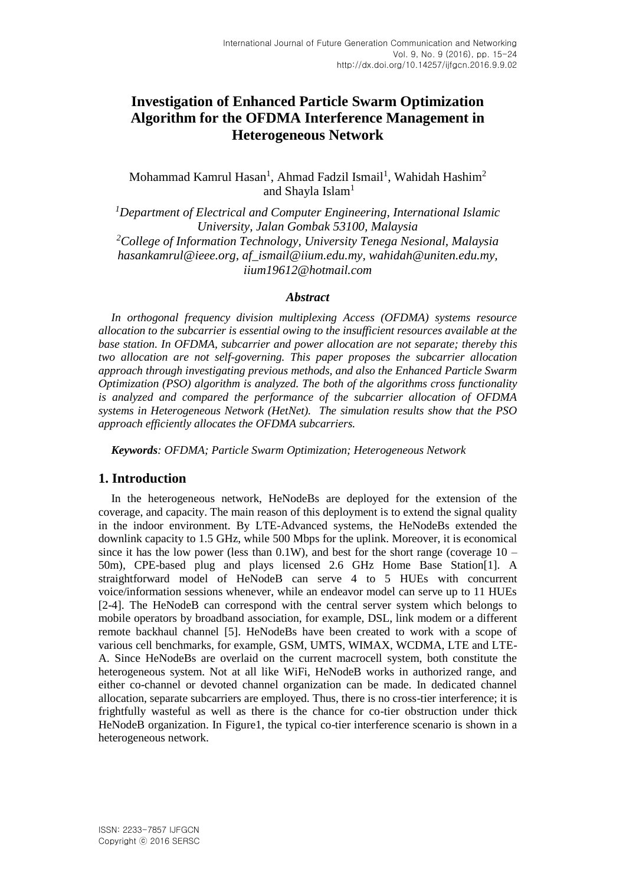# **Investigation of Enhanced Particle Swarm Optimization Algorithm for the OFDMA Interference Management in Heterogeneous Network**

Mohammad Kamrul Hasan<sup>1</sup>, Ahmad Fadzil Ismail<sup>1</sup>, Wahidah Hashim<sup>2</sup> and Shayla Islam<sup>1</sup>

*<sup>1</sup>Department of Electrical and Computer Engineering, International Islamic University, Jalan Gombak 53100, Malaysia <sup>2</sup>College of Information Technology, University Tenega Nesional, Malaysia hasankamrul@ieee.org, af\_ismail@iium.edu.my, wahidah@uniten.edu.my, iium19612@hotmail.com*

### *Abstract*

*In orthogonal frequency division multiplexing Access (OFDMA) systems resource allocation to the subcarrier is essential owing to the insufficient resources available at the base station. In OFDMA, subcarrier and power allocation are not separate; thereby this two allocation are not self-governing. This paper proposes the subcarrier allocation approach through investigating previous methods, and also the Enhanced Particle Swarm Optimization (PSO) algorithm is analyzed. The both of the algorithms cross functionality is analyzed and compared the performance of the subcarrier allocation of OFDMA systems in Heterogeneous Network (HetNet). The simulation results show that the PSO approach efficiently allocates the OFDMA subcarriers.*

*Keywords: OFDMA; Particle Swarm Optimization; Heterogeneous Network*

# **1. Introduction**

In the heterogeneous network, HeNodeBs are deployed for the extension of the coverage, and capacity. The main reason of this deployment is to extend the signal quality in the indoor environment. By LTE-Advanced systems, the HeNodeBs extended the downlink capacity to 1.5 GHz, while 500 Mbps for the uplink. Moreover, it is economical since it has the low power (less than  $0.1W$ ), and best for the short range (coverage  $10 -$ 50m), CPE-based plug and plays licensed 2.6 GHz Home Base Station[1]. A straightforward model of HeNodeB can serve 4 to 5 HUEs with concurrent voice/information sessions whenever, while an endeavor model can serve up to 11 HUEs [2-4]. The HeNodeB can correspond with the central server system which belongs to mobile operators by broadband association, for example, DSL, link modem or a different remote backhaul channel [5]. HeNodeBs have been created to work with a scope of various cell benchmarks, for example, GSM, UMTS, WIMAX, WCDMA, LTE and LTE-A. Since HeNodeBs are overlaid on the current macrocell system, both constitute the heterogeneous system. Not at all like WiFi, HeNodeB works in authorized range, and either co-channel or devoted channel organization can be made. In dedicated channel allocation, separate subcarriers are employed. Thus, there is no cross-tier interference; it is frightfully wasteful as well as there is the chance for co-tier obstruction under thick HeNodeB organization. In Figure1, the typical co-tier interference scenario is shown in a heterogeneous network.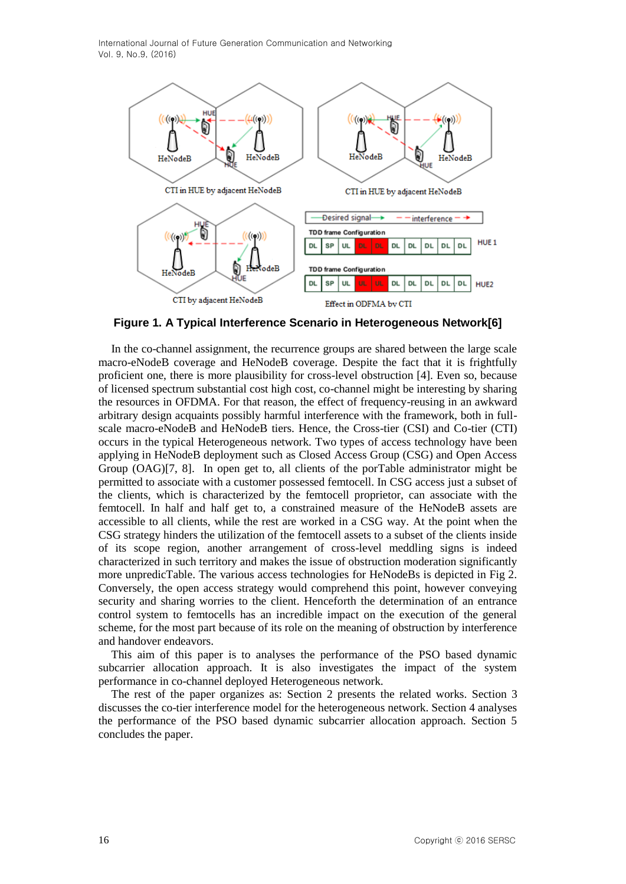

**Figure 1. A Typical Interference Scenario in Heterogeneous Network[\[6\]](#page-7-0)**

In the co-channel assignment, the recurrence groups are shared between the large scale macro-eNodeB coverage and HeNodeB coverage. Despite the fact that it is frightfully proficient one, there is more plausibility for cross-level obstruction [4]. Even so, because of licensed spectrum substantial cost high cost, co-channel might be interesting by sharing the resources in OFDMA. For that reason, the effect of frequency-reusing in an awkward arbitrary design acquaints possibly harmful interference with the framework, both in fullscale macro-eNodeB and HeNodeB tiers. Hence, the Cross-tier (CSI) and Co-tier (CTI) occurs in the typical Heterogeneous network. Two types of access technology have been applying in HeNodeB deployment such as Closed Access Group (CSG) and Open Access Group (OAG)[7, 8]. In open get to, all clients of the porTable administrator might be permitted to associate with a customer possessed femtocell. In CSG access just a subset of the clients, which is characterized by the femtocell proprietor, can associate with the femtocell. In half and half get to, a constrained measure of the HeNodeB assets are accessible to all clients, while the rest are worked in a CSG way. At the point when the CSG strategy hinders the utilization of the femtocell assets to a subset of the clients inside of its scope region, another arrangement of cross-level meddling signs is indeed characterized in such territory and makes the issue of obstruction moderation significantly more unpredicTable. The various access technologies for HeNodeBs is depicted in Fig 2. Conversely, the open access strategy would comprehend this point, however conveying security and sharing worries to the client. Henceforth the determination of an entrance control system to femtocells has an incredible impact on the execution of the general scheme, for the most part because of its role on the meaning of obstruction by interference and handover endeavors.

This aim of this paper is to analyses the performance of the PSO based dynamic subcarrier allocation approach. It is also investigates the impact of the system performance in co-channel deployed Heterogeneous network.

The rest of the paper organizes as: Section 2 presents the related works. Section 3 discusses the co-tier interference model for the heterogeneous network. Section 4 analyses the performance of the PSO based dynamic subcarrier allocation approach. Section 5 concludes the paper.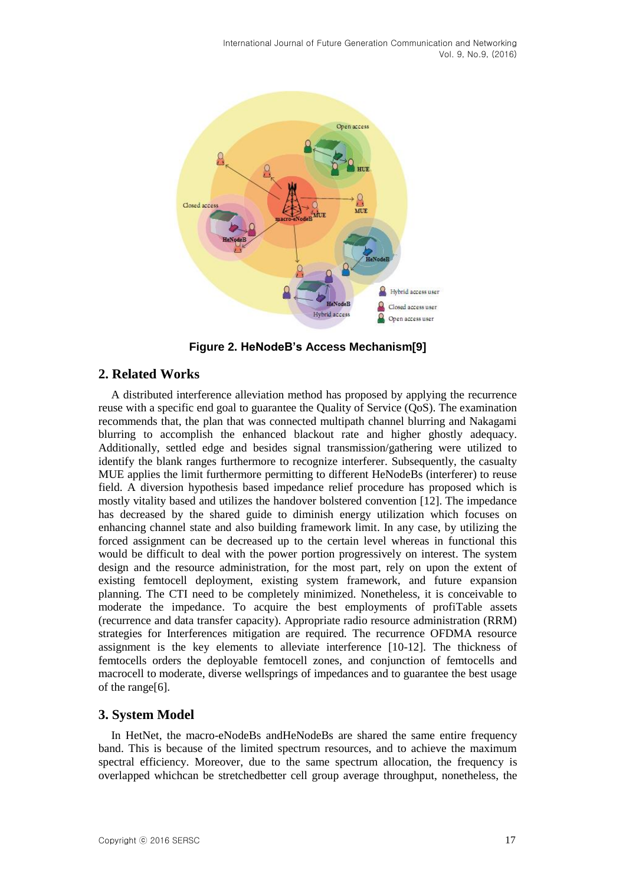

**Figure 2. HeNodeB's Access Mechanism[\[9\]](#page-7-1)**

# **2. Related Works**

A distributed interference alleviation method has proposed by applying the recurrence reuse with a specific end goal to guarantee the Quality of Service (QoS). The examination recommends that, the plan that was connected multipath channel blurring and Nakagami blurring to accomplish the enhanced blackout rate and higher ghostly adequacy. Additionally, settled edge and besides signal transmission/gathering were utilized to identify the blank ranges furthermore to recognize interferer. Subsequently, the casualty MUE applies the limit furthermore permitting to different HeNodeBs (interferer) to reuse field. A diversion hypothesis based impedance relief procedure has proposed which is mostly vitality based and utilizes the handover bolstered convention [12]. The impedance has decreased by the shared guide to diminish energy utilization which focuses on enhancing channel state and also building framework limit. In any case, by utilizing the forced assignment can be decreased up to the certain level whereas in functional this would be difficult to deal with the power portion progressively on interest. The system design and the resource administration, for the most part, rely on upon the extent of existing femtocell deployment, existing system framework, and future expansion planning. The CTI need to be completely minimized. Nonetheless, it is conceivable to moderate the impedance. To acquire the best employments of profiTable assets (recurrence and data transfer capacity). Appropriate radio resource administration (RRM) strategies for Interferences mitigation are required. The recurrence OFDMA resource assignment is the key elements to alleviate interference [10-12]. The thickness of femtocells orders the deployable femtocell zones, and conjunction of femtocells and macrocell to moderate, diverse wellsprings of impedances and to guarantee the best usage of the range[6].

# **3. System Model**

In HetNet, the macro-eNodeBs andHeNodeBs are shared the same entire frequency band. This is because of the limited spectrum resources, and to achieve the maximum spectral efficiency. Moreover, due to the same spectrum allocation, the frequency is overlapped whichcan be stretchedbetter cell group average throughput, nonetheless, the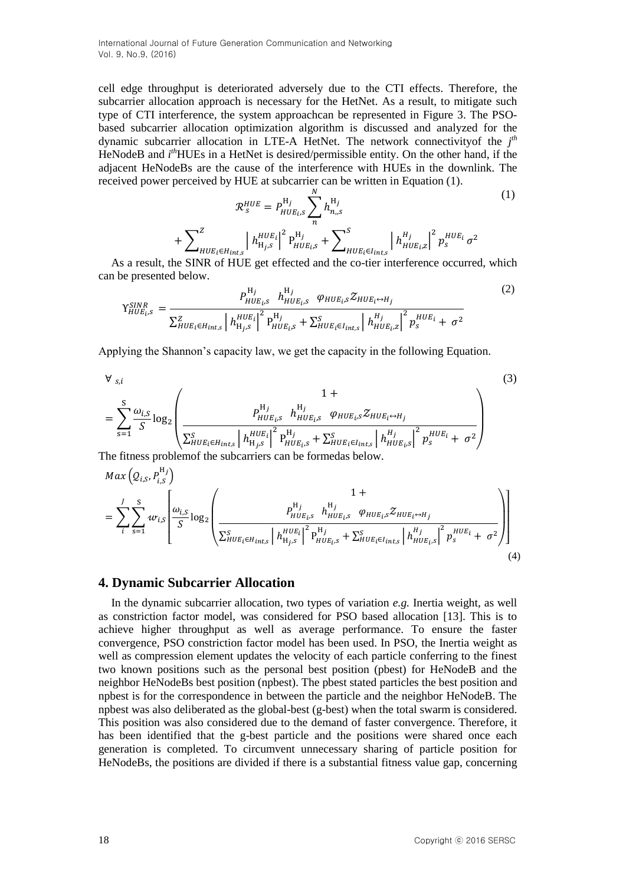cell edge throughput is deteriorated adversely due to the CTI effects. Therefore, the subcarrier allocation approach is necessary for the HetNet. As a result, to mitigate such type of CTI interference, the system approachcan be represented in Figure 3. The PSObased subcarrier allocation optimization algorithm is discussed and analyzed for the dynamic subcarrier allocation in LTE-A HetNet. The network connectivityof the *j th* HeNodeB and *i*<sup>th</sup>HUEs in a HetNet is desired/permissible entity. On the other hand, if the adjacent HeNodeBs are the cause of the interference with HUEs in the downlink. The received power perceived by HUE at subcarrier can be written in Equation (1).

$$
\mathcal{R}_{s}^{HUE} = P_{HUE_{i},s}^{Hj} \sum_{n}^{N} h_{n,s}^{Hj}
$$
\n
$$
+ \sum_{HUE_{i} \in H_{ints}}^{Z} \left| h_{Hjs}^{HUE_{i}} \right|^{2} P_{HUE_{i},s}^{Hj} + \sum_{HUE_{i} \in I_{ints}}^{S} \left| h_{HUE_{i},z}^{Hj} \right|^{2} p_{s}^{HUE_{i}} \sigma^{2}
$$
\n
$$
\sum_{n}^{S} \left| h_{HUE_{i},s}^{Hj} \right|^{2} \left| h_{HUE_{i},s}^{Hj} \right|^{2} \left| h_{HUE_{i},s}^{Hj} \right|^{2} \left| h_{HUE_{i},s}^{Hj} \right|^{2} \left| h_{HUE_{i},s}^{Hj} \right|^{2} \left| h_{HUE_{i},s}^{Hj} \right|^{2} \left| h_{HUE_{i},s}^{Hj} \right|^{2} \left| h_{HUE_{i},s}^{Hj} \right|^{2} \left| h_{HUE_{i},s}^{Hj} \right|^{2} \left| h_{HUE_{i},s}^{Hj} \right|^{2} \left| h_{HUE_{i},s}^{Hj} \right|^{2} \left| h_{HUE_{i},s}^{Hj} \right|^{2} \left| h_{HUE_{i},s}^{Hj} \right|^{2} \left| h_{HUE_{i},s}^{Hj} \right|^{2} \left| h_{HUE_{i},s}^{Hj} \right|^{2} \left| h_{HUE_{i},s}^{Hj} \right|^{2} \left| h_{HUE_{i},s}^{Hj} \right|^{2} \left| h_{HUE_{i},s}^{Hj} \right|^{2} \left| h_{HUE_{i},s}^{Hj} \right|^{2} \left| h_{HUE_{i},s}^{Hj} \right|^{2} \left| h_{HUE_{i},s}^{Hj} \right|^{2} \left| h_{HUE_{i},s}^{Hj} \right|^{2} \left| h_{HUE_{i},s}^{Hj} \right|^{2} \left| h_{HUE_{i},s}^{Hj} \right|^{2} \left| h_{HUE_{i},s}^{Hj} \right|^{2} \left| h_{HUE_{i},s}^{Hj} \right|^{2} \left| h_{HUE_{i},s}^{H
$$

As a result, the SINR of HUE get effected and the co-tier interference occurred, which can be presented below.

$$
\gamma_{HUE_{i},s}^{SINR} = \frac{P_{HUE_{i},s}^{H_j} h_{HUE_{i},s}^{H_j} \varphi_{HUE_{i},s} \mathcal{Z}_{HUE_{i} \leftrightarrow H_j}}{\sum_{HUE_{i} \in H_{int,s}}^Z \left| h_{Hjs}^{HUE_{i}} \right|^2 P_{HUE_{i},s}^{H_j} + \sum_{HUE_{i} \in I_{int,s}}^S \left| h_{HUE_{i},s}^{Hj} \right|^2 p_{s}^{HUE_{i}} + \sigma^2}
$$
(2)

Applying the Shannon's capacity law, we get the capacity in the following Equation.

$$
\forall s,i
$$
\n
$$
= \sum_{s=1}^{S} \frac{\omega_{i,S}}{S} \log_2 \left( \frac{P_{HUE_{i,S}}^{Hj} h_{HUE_{i,S}}^{Hj}}{2 \sum_{HUE_i \in H_{int,s}}^{S} \left| h_{Hj,s}^{HUE_{i,S}} \right|^2 P_{HUE_{i,S}}^{Hj}} + \sum_{HUE_i \in I_{int,s}}^{S} \left| h_{HUE_{i,S}}^{Hj} \right|^2 p_{s}^{HUE_{i}} + \sigma^2 \right)
$$
\n
$$
= \int_{0}^{S} \left( \frac{P_{HUE_{i}}^{Hj}}{2 \pi \sigma^2} \right)^2 \left( \frac{P_{HUE_{i,S}}^{Hj}}{P_{HUE_{i,S}}^{Hj}} \right)^2 \left( \frac{P_{HUE_{i,S}}^{Hj}}{P_{HUE_{i,S}}^{Hj}} \right)^2 \left( \frac{P_{HUE_{i,S}}^{Hj}}{P_{HUE_{i,S}}^{Hj}} \right)^2 \left( \frac{P_{HUE_{i,S}}^{Hj}}{P_{HUE_{i,S}}^{Hj}} \right)^2 \left( \frac{P_{HUE_{i,S}}^{Hj}}{P_{HUE_{i,S}}^{Hj}} \right)^2 \left( \frac{P_{HUE_{i,S}}^{Hj}}{P_{HUE_{i,S}}^{Hj}} \right)^2 \left( \frac{P_{HUE_{i,S}}^{Hj}}{P_{HUE_{i,S}}^{Hj}} \right)^2 \left( \frac{P_{HUE_{i,S}}^{Hj}}{P_{HUE_{i,S}}^{Hj}} \right)^2 \left( \frac{P_{HUE_{i,S}}^{Hj}}{P_{HUE_{i,S}}^{Hj}} \right)^2 \left( \frac{P_{HUE_{i,S}}^{Hj}}{P_{HUE_{i,S}}^{Hj}} \right)^2 \left( \frac{P_{HUE_{i,S}}^{Hj}}{P_{HUE_{i,S}}^{Hj}} \right)^2 \left( \frac{P_{HUE_{i,S}}^{Hj}}{P_{HUE_{i,S}}^{Hj}} \right)^2 \left( \frac{P_{HUE_{i,S}}^{Hj}}{P_{HUE_{i,S}}^{Hj}} \right)^2 \left( \frac{P_{HUE_{i,S}}^{Hj}}{P_{HUE_{i,S}}^{Hj}} \right)^2 \left( \frac{P_{HUE_{i,S}}^{Hj}}{P_{HUE_{i,S}}^{Hj}} \right)^2 \left( \frac{P_{HUE_{i,S
$$

The fitness problemof the subcarriers can be formedas below.  $\sim$  $H \propto$ 

$$
Max (Q_{i,S}, P_{i,S}^{i,j})
$$
\n
$$
= \sum_{i}^{J} \sum_{s=1}^{S} w_{i,S} \left[ \frac{\omega_{i,S}}{S} \log_2 \left( \frac{P_{HUE_{i,S}}^{Hj} h_{HUE_{i,S}}^{Hj}}{ \sum_{HUE_i \in H_{int,S}}^{S} \left| h_{HJE_{i,S}}^{HUE_{i,S}} \right| P_{HUE_{i,S}}^{Hj} + \sum_{HUE_i \in I_{int,S}}^{S} \left| h_{HUE_{i,S}}^{Hj} \right|^{2} p_{S}^{HUE_{i}} + \sigma^2 \right) \right]
$$
\n(4)

#### **4. Dynamic Subcarrier Allocation**

In the dynamic subcarrier allocation, two types of variation *e.g.* Inertia weight, as well as constriction factor model, was considered for PSO based allocation [13]. This is to achieve higher throughput as well as average performance. To ensure the faster convergence, PSO constriction factor model has been used. In PSO, the Inertia weight as well as compression element updates the velocity of each particle conferring to the finest two known positions such as the personal best position (pbest) for HeNodeB and the neighbor HeNodeBs best position (npbest). The pbest stated particles the best position and npbest is for the correspondence in between the particle and the neighbor HeNodeB. The npbest was also deliberated as the global-best (g-best) when the total swarm is considered. This position was also considered due to the demand of faster convergence. Therefore, it has been identified that the g-best particle and the positions were shared once each generation is completed. To circumvent unnecessary sharing of particle position for HeNodeBs, the positions are divided if there is a substantial fitness value gap, concerning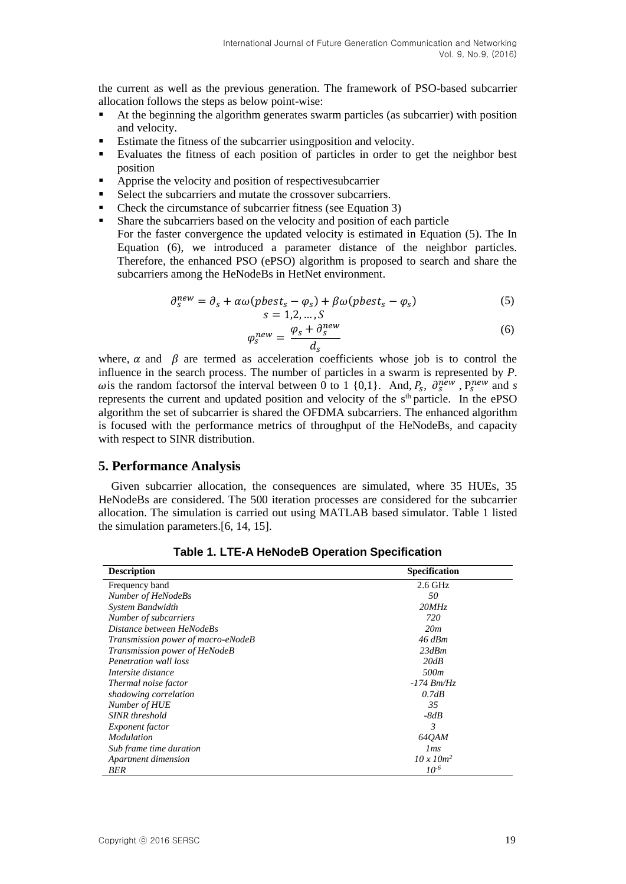the current as well as the previous generation. The framework of PSO-based subcarrier allocation follows the steps as below point-wise:

- At the beginning the algorithm generates swarm particles (as subcarrier) with position and velocity.
- Estimate the fitness of the subcarrier usingposition and velocity.
- Evaluates the fitness of each position of particles in order to get the neighbor best position
- Apprise the velocity and position of respectives ubcarrier
- Select the subcarriers and mutate the crossover subcarriers.
- Check the circumstance of subcarrier fitness (see Equation 3)
- Share the subcarriers based on the velocity and position of each particle For the faster convergence the updated velocity is estimated in Equation (5). The In Equation (6), we introduced a parameter distance of the neighbor particles. Therefore, the enhanced PSO (ePSO) algorithm is proposed to search and share the subcarriers among the HeNodeBs in HetNet environment.

$$
\partial_s^{new} = \partial_s + \alpha \omega (pbest_s - \varphi_s) + \beta \omega (pbest_s - \varphi_s) \tag{5}
$$

$$
s = 1, 2, \dots, S
$$

$$
\omega_s + \partial_x^{new}
$$

$$
\varphi_s^{new} = \frac{\varphi_s + \partial_s^{new}}{d_s} \tag{6}
$$

where,  $\alpha$  and  $\beta$  are termed as acceleration coefficients whose job is to control the influence in the search process. The number of particles in a swarm is represented by *P*. wis the random factors f the interval between 0 to 1 {0,1}. And,  $P_s$ ,  $\partial_s^{new}$ ,  $P_s^{new}$  and *s* represents the current and updated position and velocity of the  $s<sup>th</sup>$  particle. In the ePSO algorithm the set of subcarrier is shared the OFDMA subcarriers. The enhanced algorithm is focused with the performance metrics of throughput of the HeNodeBs, and capacity with respect to SINR distribution.

#### **5. Performance Analysis**

Given subcarrier allocation, the consequences are simulated, where 35 HUEs, 35 HeNodeBs are considered. The 500 iteration processes are considered for the subcarrier allocation. The simulation is carried out using MATLAB based simulator. Table 1 listed the simulation parameters.[\[6,](#page-7-0) [14,](#page-7-2) [15\]](#page-7-3).

| <b>Description</b>                 | Specification     |
|------------------------------------|-------------------|
| Frequency band                     | $2.6$ GHz         |
| Number of HeNodeBs                 | 50                |
| System Bandwidth                   | 20MHz             |
| Number of subcarriers              | 720               |
| Distance between HeNodeBs          | 20m               |
| Transmission power of macro-eNodeB | $46$ dBm          |
| Transmission power of HeNodeB      | 23dBm             |
| Penetration wall loss              | 20dB              |
| Intersite distance                 | 500 <sub>m</sub>  |
| Thermal noise factor               | $-174$ Bm/Hz      |
| shadowing correlation              | 0.7dB             |
| Number of HUE                      | 35                |
| <b>SINR</b> threshold              | $-8dB$            |
| <i>Exponent factor</i>             | 3                 |
| <i>Modulation</i>                  | 640AM             |
| Sub frame time duration            | $\mathfrak{m}$ s  |
| Apartment dimension                | $10 \times 10m^2$ |
| BER                                | $10^{-6}$         |

**Table 1. LTE-A HeNodeB Operation Specification**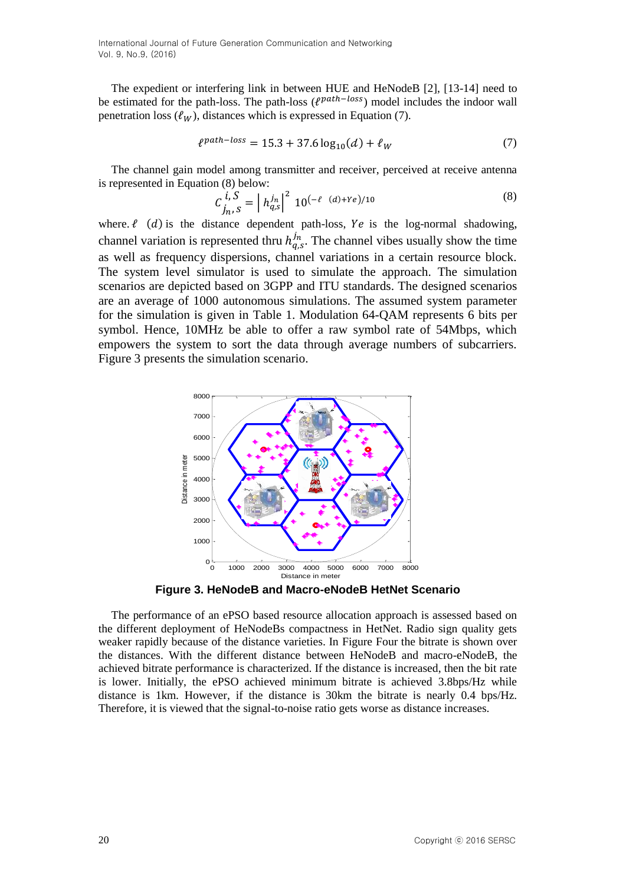The expedient or interfering link in between HUE and HeNodeB [2], [13-14] need to be estimated for the path-loss. The path-loss ( $\ell^{path-loss}$ ) model includes the indoor wall penetration loss  $(\ell_W)$ , distances which is expressed in Equation (7).

$$
\ell^{path-loss} = 15.3 + 37.6 \log_{10}(d) + \ell_W \tag{7}
$$

The channel gain model among transmitter and receiver, perceived at receive antenna is represented in Equation (8) below:

$$
C_{j_n, S}^{i, S} = |h_{q, S}^{j_n}|^2 10^{(-\ell - (d) + Ye)/10}
$$
 (8)

where.  $\ell$  (d) is the distance dependent path-loss, Ye is the log-normal shadowing, channel variation is represented thru  $h_{q,s}^{j_n}$ . The channel vibes usually show the time as well as frequency dispersions, channel variations in a certain resource block. The system level simulator is used to simulate the approach. The simulation scenarios are depicted based on 3GPP and ITU standards. The designed scenarios are an average of 1000 autonomous simulations. The assumed system parameter for the simulation is given in Table 1. Modulation 64-QAM represents 6 bits per symbol. Hence, 10MHz be able to offer a raw symbol rate of 54Mbps, which empowers the system to sort the data through average numbers of subcarriers. Figure 3 presents the simulation scenario.



**Figure 3. HeNodeB and Macro-eNodeB HetNet Scenario**

The performance of an ePSO based resource allocation approach is assessed based on the different deployment of HeNodeBs compactness in HetNet. Radio sign quality gets weaker rapidly because of the distance varieties. In Figure Four the bitrate is shown over the distances. With the different distance between HeNodeB and macro-eNodeB, the achieved bitrate performance is characterized. If the distance is increased, then the bit rate is lower. Initially, the ePSO achieved minimum bitrate is achieved 3.8bps/Hz while distance is 1km. However, if the distance is 30km the bitrate is nearly 0.4 bps/Hz. Therefore, it is viewed that the signal-to-noise ratio gets worse as distance increases.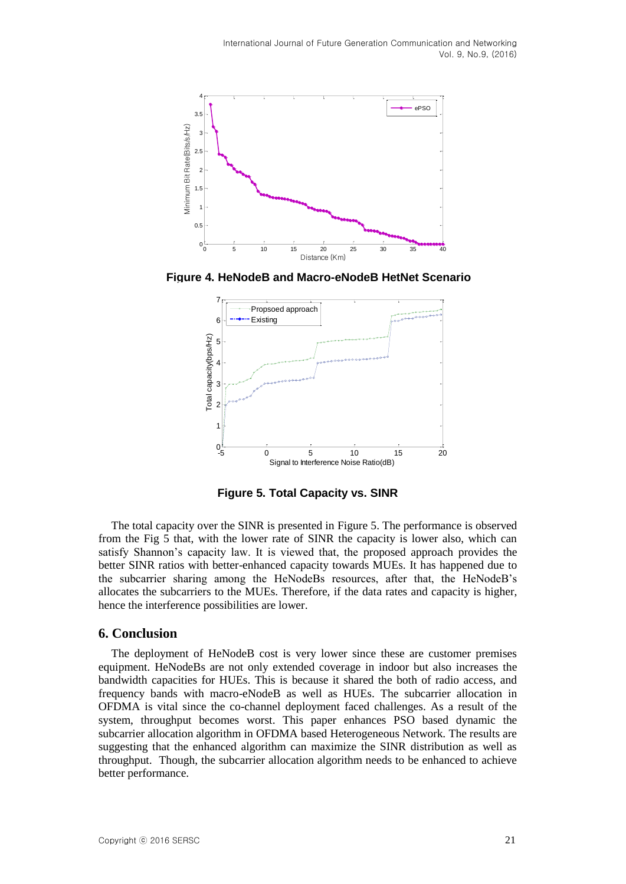

**Figure 4. HeNodeB and Macro-eNodeB HetNet Scenario**



**Figure 5. Total Capacity vs. SINR**

The total capacity over the SINR is presented in Figure 5. The performance is observed from the Fig 5 that, with the lower rate of SINR the capacity is lower also, which can satisfy Shannon's capacity law. It is viewed that, the proposed approach provides the better SINR ratios with better-enhanced capacity towards MUEs. It has happened due to the subcarrier sharing among the HeNodeBs resources, after that, the HeNodeB's allocates the subcarriers to the MUEs. Therefore, if the data rates and capacity is higher, hence the interference possibilities are lower.

# **6. Conclusion**

The deployment of HeNodeB cost is very lower since these are customer premises equipment. HeNodeBs are not only extended coverage in indoor but also increases the bandwidth capacities for HUEs. This is because it shared the both of radio access, and frequency bands with macro-eNodeB as well as HUEs. The subcarrier allocation in OFDMA is vital since the co-channel deployment faced challenges. As a result of the system, throughput becomes worst. This paper enhances PSO based dynamic the subcarrier allocation algorithm in OFDMA based Heterogeneous Network. The results are suggesting that the enhanced algorithm can maximize the SINR distribution as well as throughput. Though, the subcarrier allocation algorithm needs to be enhanced to achieve better performance.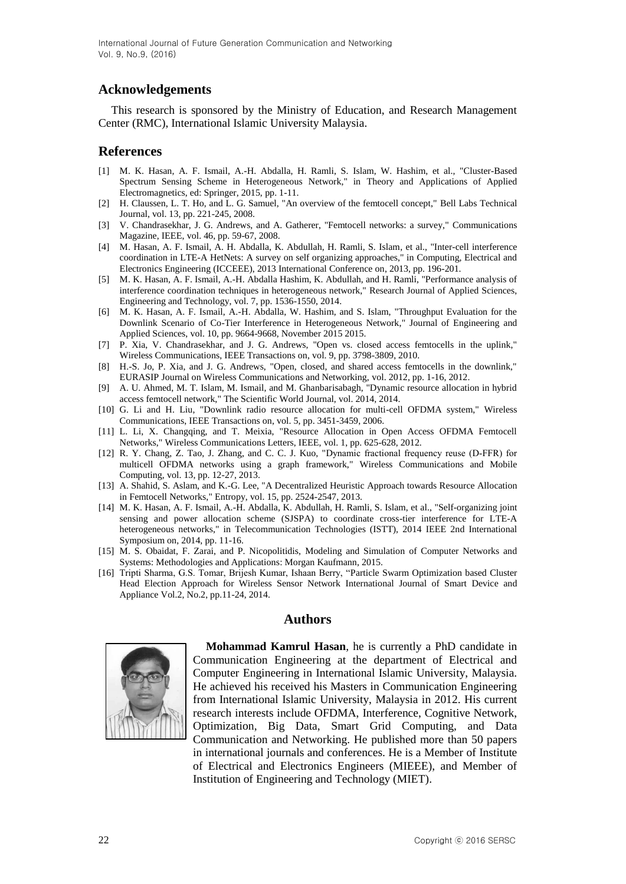# **Acknowledgements**

This research is sponsored by the Ministry of Education, and Research Management Center (RMC), International Islamic University Malaysia.

### **References**

- [1] M. K. Hasan, A. F. Ismail, A.-H. Abdalla, H. Ramli, S. Islam, W. Hashim, et al., "Cluster-Based Spectrum Sensing Scheme in Heterogeneous Network," in Theory and Applications of Applied Electromagnetics, ed: Springer, 2015, pp. 1-11.
- [2] H. Claussen, L. T. Ho, and L. G. Samuel, "An overview of the femtocell concept," Bell Labs Technical Journal, vol. 13, pp. 221-245, 2008.
- [3] V. Chandrasekhar, J. G. Andrews, and A. Gatherer, "Femtocell networks: a survey," Communications Magazine, IEEE, vol. 46, pp. 59-67, 2008.
- [4] M. Hasan, A. F. Ismail, A. H. Abdalla, K. Abdullah, H. Ramli, S. Islam, et al., "Inter-cell interference coordination in LTE-A HetNets: A survey on self organizing approaches," in Computing, Electrical and Electronics Engineering (ICCEEE), 2013 International Conference on, 2013, pp. 196-201.
- [5] M. K. Hasan, A. F. Ismail, A.-H. Abdalla Hashim, K. Abdullah, and H. Ramli, "Performance analysis of interference coordination techniques in heterogeneous network," Research Journal of Applied Sciences, Engineering and Technology, vol. 7, pp. 1536-1550, 2014.
- <span id="page-7-0"></span>[6] M. K. Hasan, A. F. Ismail, A.-H. Abdalla, W. Hashim, and S. Islam, "Throughput Evaluation for the Downlink Scenario of Co-Tier Interference in Heterogeneous Network," Journal of Engineering and Applied Sciences, vol. 10, pp. 9664-9668, November 2015 2015.
- [7] P. Xia, V. Chandrasekhar, and J. G. Andrews, "Open vs. closed access femtocells in the uplink," Wireless Communications, IEEE Transactions on, vol. 9, pp. 3798-3809, 2010.
- [8] H.-S. Jo, P. Xia, and J. G. Andrews, "Open, closed, and shared access femtocells in the downlink," EURASIP Journal on Wireless Communications and Networking, vol. 2012, pp. 1-16, 2012.
- <span id="page-7-1"></span>[9] A. U. Ahmed, M. T. Islam, M. Ismail, and M. Ghanbarisabagh, "Dynamic resource allocation in hybrid access femtocell network," The Scientific World Journal, vol. 2014, 2014.
- [10] G. Li and H. Liu, "Downlink radio resource allocation for multi-cell OFDMA system," Wireless Communications, IEEE Transactions on, vol. 5, pp. 3451-3459, 2006.
- [11] L. Li, X. Changqing, and T. Meixia, "Resource Allocation in Open Access OFDMA Femtocell Networks," Wireless Communications Letters, IEEE, vol. 1, pp. 625-628, 2012.
- [12] R. Y. Chang, Z. Tao, J. Zhang, and C. C. J. Kuo, "Dynamic fractional frequency reuse (D-FFR) for multicell OFDMA networks using a graph framework," Wireless Communications and Mobile Computing, vol. 13, pp. 12-27, 2013.
- [13] A. Shahid, S. Aslam, and K.-G. Lee, "A Decentralized Heuristic Approach towards Resource Allocation in Femtocell Networks," Entropy, vol. 15, pp. 2524-2547, 2013.
- <span id="page-7-2"></span>[14] M. K. Hasan, A. F. Ismail, A.-H. Abdalla, K. Abdullah, H. Ramli, S. Islam, et al., "Self-organizing joint sensing and power allocation scheme (SJSPA) to coordinate cross-tier interference for LTE-A heterogeneous networks," in Telecommunication Technologies (ISTT), 2014 IEEE 2nd International Symposium on, 2014, pp. 11-16.
- <span id="page-7-3"></span>[15] M. S. Obaidat, F. Zarai, and P. Nicopolitidis, Modeling and Simulation of Computer Networks and Systems: Methodologies and Applications: Morgan Kaufmann, 2015.
- [16] Tripti Sharma, G.S. Tomar, Brijesh Kumar, Ishaan Berry, "Particle Swarm Optimization based Cluster Head Election Approach for Wireless Sensor Network International Journal of Smart Device and Appliance Vol.2, No.2, pp.11-24, 2014.

#### **Authors**



**Mohammad Kamrul Hasan**, he is currently a PhD candidate in Communication Engineering at the department of Electrical and Computer Engineering in International Islamic University, Malaysia. He achieved his received his Masters in Communication Engineering from International Islamic University, Malaysia in 2012. His current research interests include OFDMA, Interference, Cognitive Network, Optimization, Big Data, Smart Grid Computing, and Data Communication and Networking. He published more than 50 papers in international journals and conferences. He is a Member of Institute of Electrical and Electronics Engineers (MIEEE), and Member of Institution of Engineering and Technology (MIET).